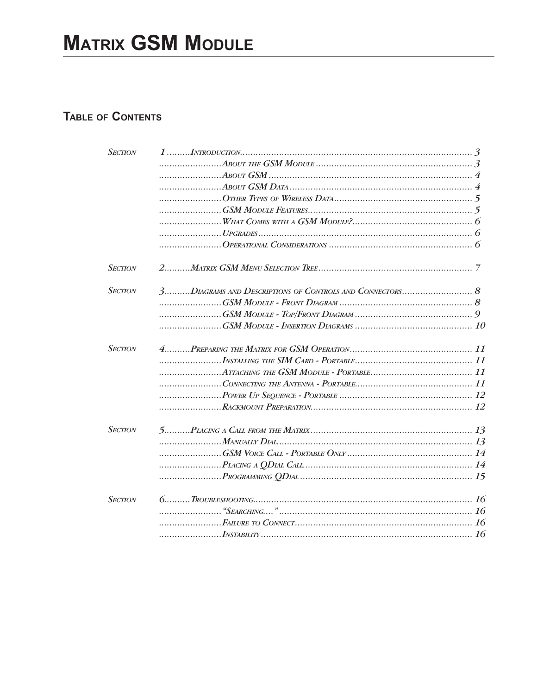# **TABLE OF CONTENTS**

| <b>SECTION</b> |                         |  |
|----------------|-------------------------|--|
|                |                         |  |
|                |                         |  |
|                |                         |  |
|                |                         |  |
|                |                         |  |
|                |                         |  |
|                |                         |  |
|                |                         |  |
| <b>SECTION</b> |                         |  |
| <b>SECTION</b> |                         |  |
|                |                         |  |
|                |                         |  |
|                |                         |  |
| <b>SECTION</b> |                         |  |
|                |                         |  |
|                |                         |  |
|                |                         |  |
|                |                         |  |
|                |                         |  |
| <b>SECTION</b> |                         |  |
|                |                         |  |
|                |                         |  |
|                | $P_{LACING A QDIAL CAL$ |  |
|                |                         |  |
| <b>SECTION</b> |                         |  |
|                |                         |  |
|                |                         |  |
|                |                         |  |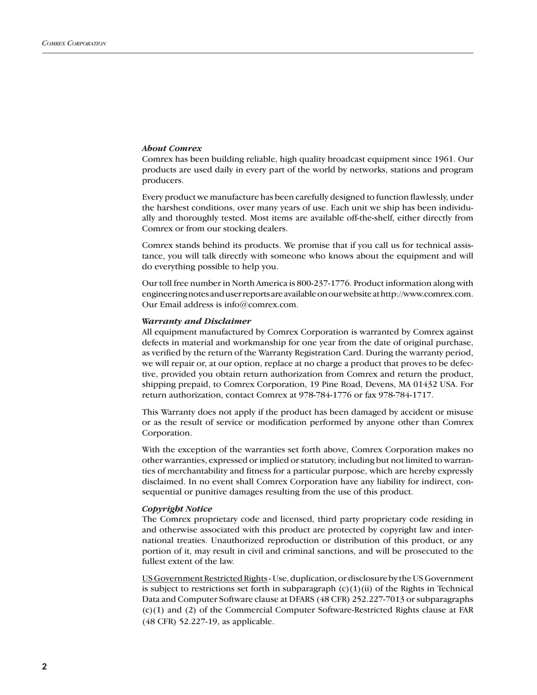## *About Comrex*

Comrex has been building reliable, high quality broadcast equipment since 1961. Our products are used daily in every part of the world by networks, stations and program producers.

Every product we manufacture has been carefully designed to function flawlessly, under the harshest conditions, over many years of use. Each unit we ship has been individually and thoroughly tested. Most items are available off-the-shelf, either directly from Comrex or from our stocking dealers.

Comrex stands behind its products. We promise that if you call us for technical assistance, you will talk directly with someone who knows about the equipment and will do everything possible to help you.

Our toll free number in North America is 800-237-1776. Product information along with engineering notes and user reports are available on our website at http://www.comrex.com. Our Email address is info@comrex.com.

#### *Warranty and Disclaimer*

All equipment manufactured by Comrex Corporation is warranted by Comrex against defects in material and workmanship for one year from the date of original purchase, as verified by the return of the Warranty Registration Card. During the warranty period, we will repair or, at our option, replace at no charge a product that proves to be defective, provided you obtain return authorization from Comrex and return the product, shipping prepaid, to Comrex Corporation, 19 Pine Road, Devens, MA 01432 USA. For return authorization, contact Comrex at 978-784-1776 or fax 978-784-1717.

This Warranty does not apply if the product has been damaged by accident or misuse or as the result of service or modification performed by anyone other than Comrex Corporation.

With the exception of the warranties set forth above, Comrex Corporation makes no other warranties, expressed or implied or statutory, including but not limited to warranties of merchantability and fitness for a particular purpose, which are hereby expressly disclaimed. In no event shall Comrex Corporation have any liability for indirect, consequential or punitive damages resulting from the use of this product.

### *Copyright Notice*

The Comrex proprietary code and licensed, third party proprietary code residing in and otherwise associated with this product are protected by copyright law and international treaties. Unauthorized reproduction or distribution of this product, or any portion of it, may result in civil and criminal sanctions, and will be prosecuted to the fullest extent of the law.

US Government Restricted Rights - Use, duplication, or disclosure by the US Government is subject to restrictions set forth in subparagraph  $(c)(1)(ii)$  of the Rights in Technical Data and Computer Software clause at DFARS (48 CFR) 252.227-7013 or subparagraphs (c)(1) and (2) of the Commercial Computer Software-Restricted Rights clause at FAR (48 CFR) 52.227-19, as applicable.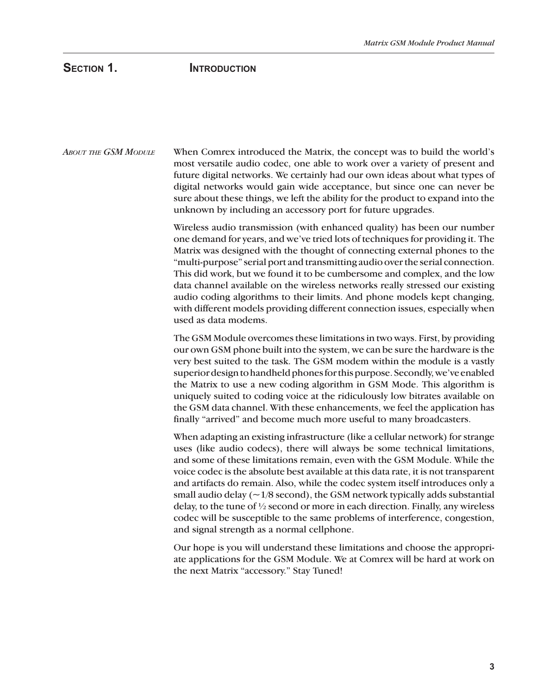# SECTION 1. **INTRODUCTION**

*ABOUT THE GSM MODULE* When Comrex introduced the Matrix, the concept was to build the world's most versatile audio codec, one able to work over a variety of present and future digital networks. We certainly had our own ideas about what types of digital networks would gain wide acceptance, but since one can never be sure about these things, we left the ability for the product to expand into the unknown by including an accessory port for future upgrades.

> Wireless audio transmission (with enhanced quality) has been our number one demand for years, and we've tried lots of techniques for providing it. The Matrix was designed with the thought of connecting external phones to the "multi-purpose" serial port and transmitting audio over the serial connection. This did work, but we found it to be cumbersome and complex, and the low data channel available on the wireless networks really stressed our existing audio coding algorithms to their limits. And phone models kept changing, with different models providing different connection issues, especially when used as data modems.

> The GSM Module overcomes these limitations in two ways. First, by providing our own GSM phone built into the system, we can be sure the hardware is the very best suited to the task. The GSM modem within the module is a vastly superior design to handheld phones for this purpose. Secondly, we've enabled the Matrix to use a new coding algorithm in GSM Mode. This algorithm is uniquely suited to coding voice at the ridiculously low bitrates available on the GSM data channel. With these enhancements, we feel the application has finally "arrived" and become much more useful to many broadcasters.

> When adapting an existing infrastructure (like a cellular network) for strange uses (like audio codecs), there will always be some technical limitations, and some of these limitations remain, even with the GSM Module. While the voice codec is the absolute best available at this data rate, it is not transparent and artifacts do remain. Also, while the codec system itself introduces only a small audio delay  $(\sim 1/8$  second), the GSM network typically adds substantial delay, to the tune of  $\frac{1}{2}$  second or more in each direction. Finally, any wireless codec will be susceptible to the same problems of interference, congestion, and signal strength as a normal cellphone.

> Our hope is you will understand these limitations and choose the appropriate applications for the GSM Module. We at Comrex will be hard at work on the next Matrix "accessory." Stay Tuned!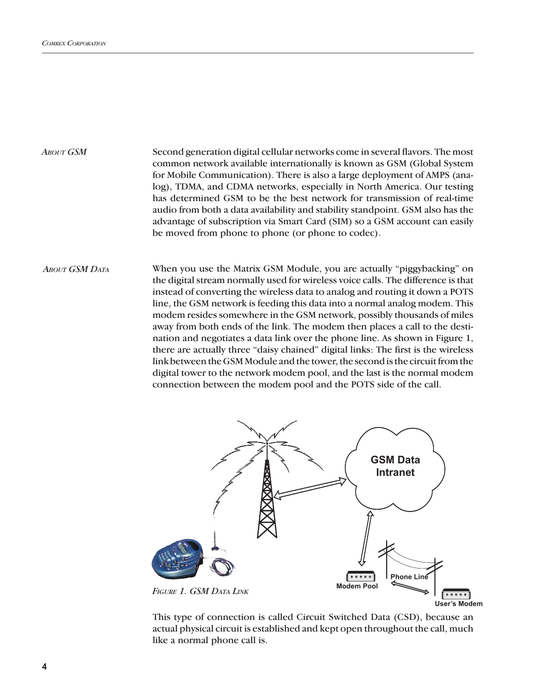*ABOUT GSM*

Second generation digital cellular networks come in several flavors. The most common network available internationally is known as GSM (Global System for Mobile Communication). There is also a large deployment of AMPS (analog), TDMA, and CDMA networks, especially in North America. Our testing has determined GSM to be the best network for transmission of real-time audio from both a data availability and stability standpoint. GSM also has the advantage of subscription via Smart Card (SIM) so a GSM account can easily be moved from phone to phone (or phone to codec).

When you use the Matrix GSM Module, you are actually "piggybacking" on the digital stream normally used for wireless voice calls. The difference is that instead of converting the wireless data to analog and routing it down a POTS line, the GSM network is feeding this data into a normal analog modem. This modem resides somewhere in the GSM network, possibly thousands of miles away from both ends of the link. The modem then places a call to the destination and negotiates a data link over the phone line. As shown in Figure 1, there are actually three "daisy chained" digital links: The first is the wireless link between the GSM Module and the tower, the second is the circuit from the digital tower to the network modem pool, and the last is the normal modem connection between the modem pool and the POTS side of the call. *ABOUT GSM DATA*



This type of connection is called Circuit Switched Data (CSD), because an actual physical circuit is established and kept open throughout the call, much like a normal phone call is.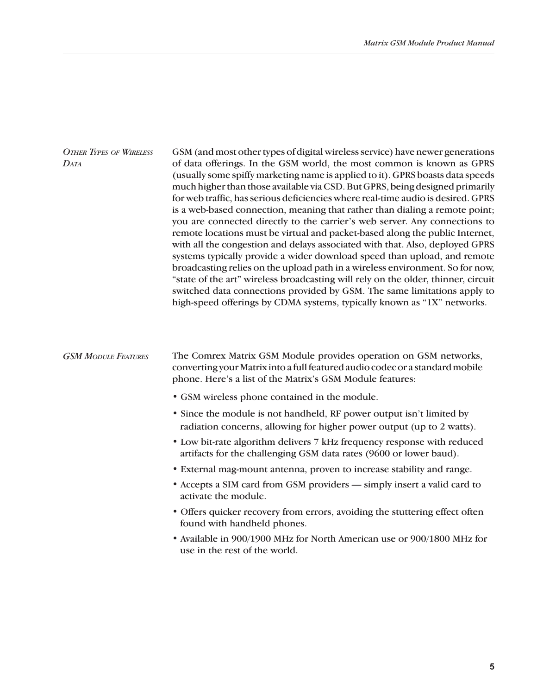| <b>OTHER TYPES OF WIRELESS</b><br>DATA | GSM (and most other types of digital wireless service) have newer generations<br>of data offerings. In the GSM world, the most common is known as GPRS<br>(usually some spiffy marketing name is applied to it). GPRS boasts data speeds<br>much higher than those available via CSD. But GPRS, being designed primarily<br>for web traffic, has serious deficiencies where real-time audio is desired. GPRS<br>is a web-based connection, meaning that rather than dialing a remote point;<br>you are connected directly to the carrier's web server. Any connections to<br>remote locations must be virtual and packet-based along the public Internet,<br>with all the congestion and delays associated with that. Also, deployed GPRS<br>systems typically provide a wider download speed than upload, and remote<br>broadcasting relies on the upload path in a wireless environment. So for now,<br>"state of the art" wireless broadcasting will rely on the older, thinner, circuit<br>switched data connections provided by GSM. The same limitations apply to<br>high-speed offerings by CDMA systems, typically known as "1X" networks. |
|----------------------------------------|----------------------------------------------------------------------------------------------------------------------------------------------------------------------------------------------------------------------------------------------------------------------------------------------------------------------------------------------------------------------------------------------------------------------------------------------------------------------------------------------------------------------------------------------------------------------------------------------------------------------------------------------------------------------------------------------------------------------------------------------------------------------------------------------------------------------------------------------------------------------------------------------------------------------------------------------------------------------------------------------------------------------------------------------------------------------------------------------------------------------------------------------------|
| <b>GSM MODULE FEATURES</b>             | The Comrex Matrix GSM Module provides operation on GSM networks,<br>converting your Matrix into a full featured audio codec or a standard mobile<br>phone. Here's a list of the Matrix's GSM Module features:                                                                                                                                                                                                                                                                                                                                                                                                                                                                                                                                                                                                                                                                                                                                                                                                                                                                                                                                      |
|                                        | • GSM wireless phone contained in the module.                                                                                                                                                                                                                                                                                                                                                                                                                                                                                                                                                                                                                                                                                                                                                                                                                                                                                                                                                                                                                                                                                                      |
|                                        | • Since the module is not handheld, RF power output isn't limited by<br>radiation concerns, allowing for higher power output (up to 2 watts).                                                                                                                                                                                                                                                                                                                                                                                                                                                                                                                                                                                                                                                                                                                                                                                                                                                                                                                                                                                                      |
|                                        | • Low bit-rate algorithm delivers 7 kHz frequency response with reduced<br>artifacts for the challenging GSM data rates (9600 or lower baud).                                                                                                                                                                                                                                                                                                                                                                                                                                                                                                                                                                                                                                                                                                                                                                                                                                                                                                                                                                                                      |
|                                        | • External mag-mount antenna, proven to increase stability and range.                                                                                                                                                                                                                                                                                                                                                                                                                                                                                                                                                                                                                                                                                                                                                                                                                                                                                                                                                                                                                                                                              |
|                                        | • Accepts a SIM card from GSM providers — simply insert a valid card to<br>activate the module.                                                                                                                                                                                                                                                                                                                                                                                                                                                                                                                                                                                                                                                                                                                                                                                                                                                                                                                                                                                                                                                    |
|                                        | • Offers quicker recovery from errors, avoiding the stuttering effect often<br>found with handheld phones.                                                                                                                                                                                                                                                                                                                                                                                                                                                                                                                                                                                                                                                                                                                                                                                                                                                                                                                                                                                                                                         |
|                                        | • Available in 900/1900 MHz for North American use or 900/1800 MHz for<br>use in the rest of the world.                                                                                                                                                                                                                                                                                                                                                                                                                                                                                                                                                                                                                                                                                                                                                                                                                                                                                                                                                                                                                                            |
|                                        |                                                                                                                                                                                                                                                                                                                                                                                                                                                                                                                                                                                                                                                                                                                                                                                                                                                                                                                                                                                                                                                                                                                                                    |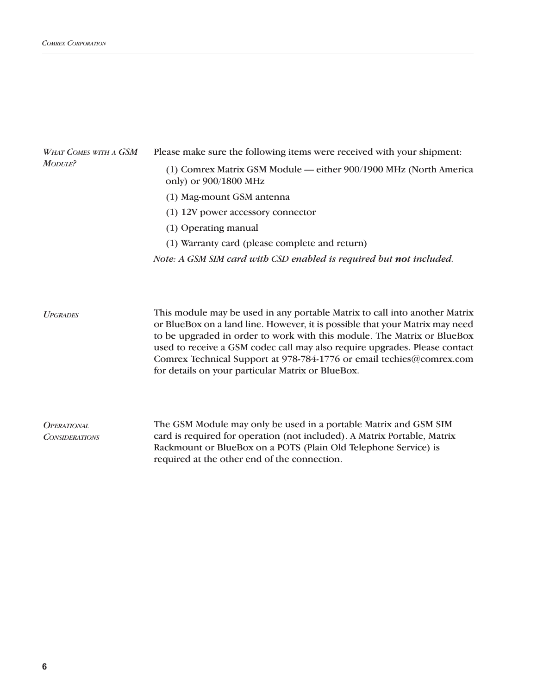| WHAT COMES WITH A GSM | Please make sure the following items were received with your shipment.                     |  |  |
|-----------------------|--------------------------------------------------------------------------------------------|--|--|
| MODULE?               | (1) Comrex Matrix GSM Module — either 900/1900 MHz (North America<br>only) or 900/1800 MHz |  |  |
|                       | (1) Mag-mount GSM antenna                                                                  |  |  |
|                       | (1) 12V power accessory connector                                                          |  |  |
|                       | (1) Operating manual                                                                       |  |  |
|                       | (1) Warranty card (please complete and return)                                             |  |  |
|                       | Note: A GSM SIM card with CSD enabled is required but not included.                        |  |  |
|                       |                                                                                            |  |  |

This module may be used in any portable Matrix to call into another Matrix or BlueBox on a land line. However, it is possible that your Matrix may need to be upgraded in order to work with this module. The Matrix or BlueBox used to receive a GSM codec call may also require upgrades. Please contact Comrex Technical Support at 978-784-1776 or email techies@comrex.com for details on your particular Matrix or BlueBox. *UPGRADES*

The GSM Module may only be used in a portable Matrix and GSM SIM card is required for operation (not included). A Matrix Portable, Matrix Rackmount or BlueBox on a POTS (Plain Old Telephone Service) is required at the other end of the connection. *OPERATIONAL CONSIDERATIONS*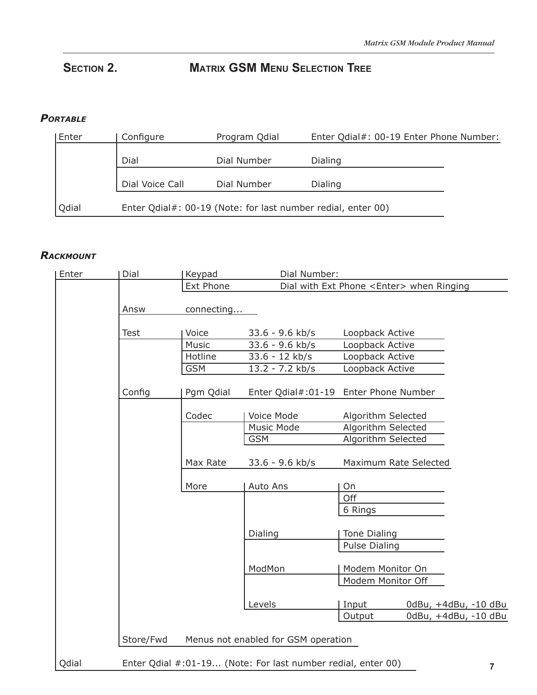# **SECTION 2. MATRIX GSM MENU SELECTION TREE**

## *PORTABLE*

| Enter | Configure                                                    | Program Qdial | Enter Qdial#: 00-19 Enter Phone Number: |  |
|-------|--------------------------------------------------------------|---------------|-----------------------------------------|--|
|       | Dial                                                         | Dial Number   | Dialing                                 |  |
|       | Dial Voice Call                                              | Dial Number   | Dialing                                 |  |
| Qdial | Enter Qdial#: 00-19 (Note: for last number redial, enter 00) |               |                                         |  |

## *RACKMOUNT*

| Enter | Dial        | Keypad     | Dial Number:                                                 |                      |                       |                      |
|-------|-------------|------------|--------------------------------------------------------------|----------------------|-----------------------|----------------------|
|       |             | Ext Phone  | Dial with Ext Phone <enter> when Ringing</enter>             |                      |                       |                      |
|       | Answ        | connecting |                                                              |                      |                       |                      |
|       | <b>Test</b> | Voice      | $33.6 - 9.6$ kb/s                                            | Loopback Active      |                       |                      |
|       |             | Music      | 33.6 - 9.6 kb/s                                              | Loopback Active      |                       |                      |
|       |             | Hotline    | $33.6 - 12$ kb/s                                             | Loopback Active      |                       |                      |
|       |             | <b>GSM</b> | $13.2 - 7.2$ kb/s                                            | Loopback Active      |                       |                      |
|       | Config      | Pgm Qdial  | Enter Qdial#:01-19                                           | Enter Phone Number   |                       |                      |
|       |             | Codec      | Voice Mode                                                   | Algorithm Selected   |                       |                      |
|       |             |            | Music Mode                                                   | Algorithm Selected   |                       |                      |
|       |             |            | <b>GSM</b>                                                   | Algorithm Selected   |                       |                      |
|       |             | Max Rate   | 33.6 - 9.6 kb/s                                              |                      | Maximum Rate Selected |                      |
|       |             | More       | Auto Ans                                                     | On                   |                       |                      |
|       |             |            |                                                              | Off                  |                       |                      |
|       |             |            |                                                              | 6 Rings              |                       |                      |
|       |             |            | Dialing                                                      | Tone Dialing         |                       |                      |
|       |             |            |                                                              | <b>Pulse Dialing</b> |                       |                      |
|       |             |            | ModMon                                                       | Modem Monitor On     |                       |                      |
|       |             |            |                                                              | Modem Monitor Off    |                       |                      |
|       |             |            | Levels                                                       | Input                |                       | 0dBu, +4dBu, -10 dBu |
|       |             |            |                                                              | Output               |                       | 0dBu, +4dBu, -10 dBu |
|       | Store/Fwd   |            | Menus not enabled for GSM operation                          |                      |                       |                      |
| Qdial |             |            | Enter Qdial #:01-19 (Note: For last number redial, enter 00) |                      |                       | 7                    |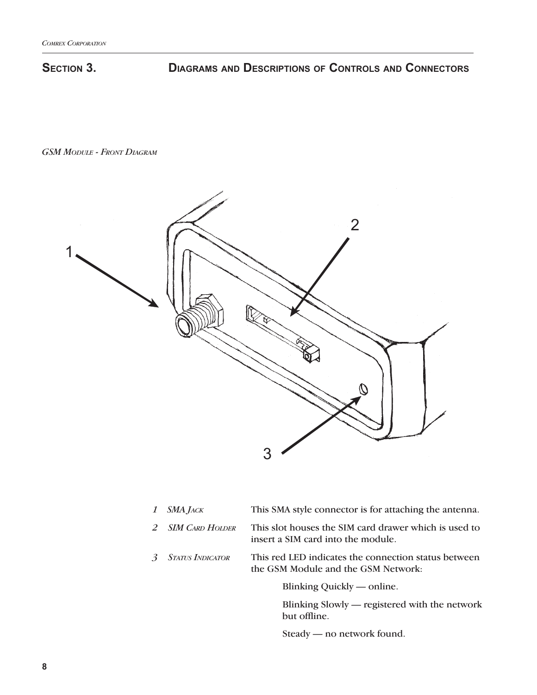# **SECTION 3. DIAGRAMS AND DESCRIPTIONS OF CONTROLS AND CONNECTORS**

*GSM MODULE - FRONT DIAGRAM*



|   | 1 $SMA$ JACK            | This SMA style connector is for attaching the antenna.                                      |
|---|-------------------------|---------------------------------------------------------------------------------------------|
|   | 2 SIM CARD HOLDER       | This slot houses the SIM card drawer which is used to<br>insert a SIM card into the module. |
| 3 | <b>STATUS INDICATOR</b> | This red LED indicates the connection status between<br>the GSM Module and the GSM Network: |
|   |                         | Blinking Quickly — online.                                                                  |

 Blinking Slowly — registered with the network but offline.

Steady — no network found.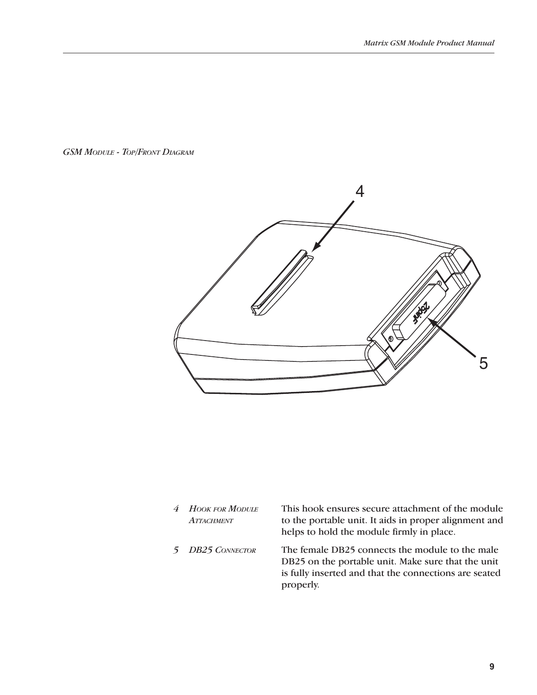*GSM MODULE - TOP/FRONT DIAGRAM*



*4 HOOK FOR MODULE ATTACHMENT*

This hook ensures secure attachment of the module to the portable unit. It aids in proper alignment and helps to hold the module firmly in place.

*5 DB25 CONNECTOR* The female DB25 connects the module to the male DB25 on the portable unit. Make sure that the unit is fully inserted and that the connections are seated properly.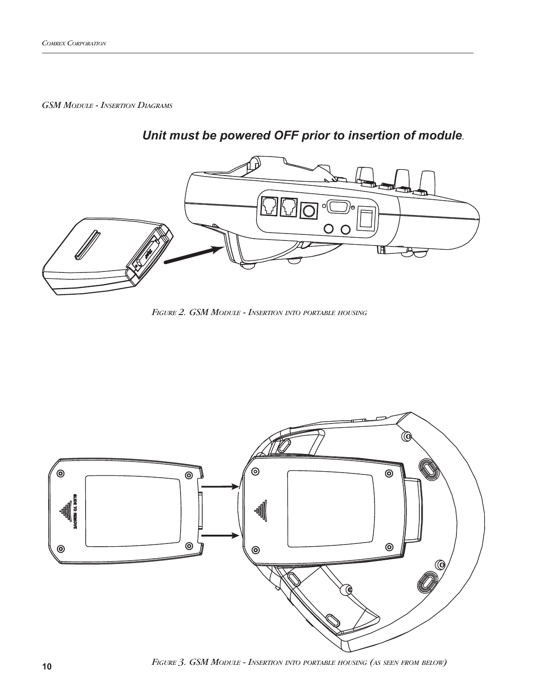*GSM MODULE - INSERTION DIAGRAMS*



# *Unit must be powered OFF prior to insertion of module*.

*FIGURE 2. GSM MODULE - INSERTION INTO PORTABLE HOUSING*

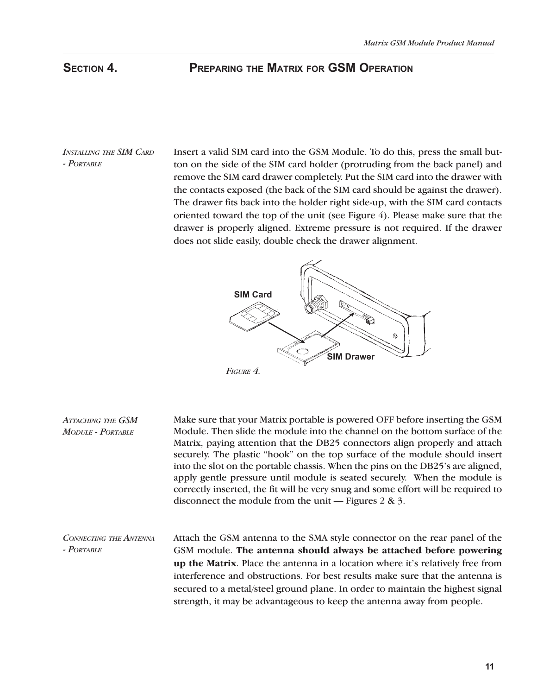## **SECTION 4. PREPARING THE MATRIX FOR GSM OPERATION**

*INSTALLING THE SIM CARD - PORTABLE*

Insert a valid SIM card into the GSM Module. To do this, press the small button on the side of the SIM card holder (protruding from the back panel) and remove the SIM card drawer completely. Put the SIM card into the drawer with the contacts exposed (the back of the SIM card should be against the drawer). The drawer fits back into the holder right side-up, with the SIM card contacts oriented toward the top of the unit (see Figure  $4$ ). Please make sure that the drawer is properly aligned. Extreme pressure is not required. If the drawer does not slide easily, double check the drawer alignment.



Make sure that your Matrix portable is powered OFF before inserting the GSM Module. Then slide the module into the channel on the bottom surface of the Matrix, paying attention that the DB25 connectors align properly and attach securely. The plastic "hook" on the top surface of the module should insert into the slot on the portable chassis. When the pins on the DB25's are aligned, apply gentle pressure until module is seated securely. When the module is correctly inserted, the fit will be very snug and some effort will be required to disconnect the module from the unit — Figures  $2 \& 3$ . *ATTACHING THE GSM MODULE - PORTABLE*

Attach the GSM antenna to the SMA style connector on the rear panel of the GSM module. **The antenna should always be attached before powering up the Matrix**. Place the antenna in a location where it's relatively free from interference and obstructions. For best results make sure that the antenna is secured to a metal/steel ground plane. In order to maintain the highest signal strength, it may be advantageous to keep the antenna away from people. *CONNECTING THE ANTENNA - PORTABLE*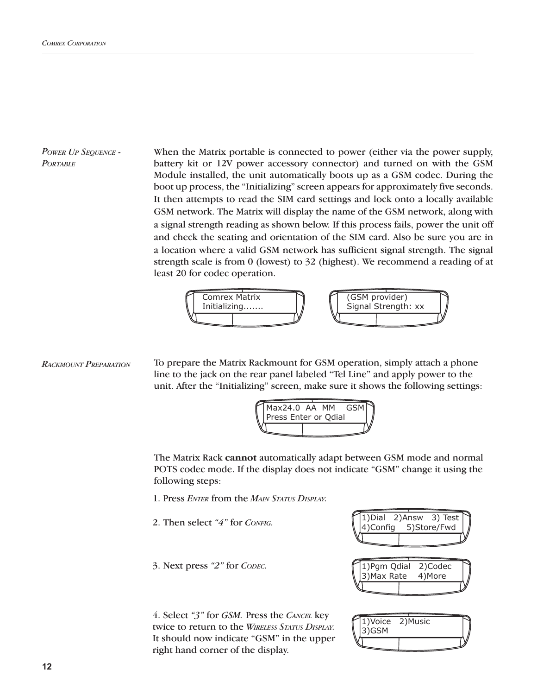*POWER UP SEQUENCE - PORTABLE*

When the Matrix portable is connected to power (either via the power supply, battery kit or 12V power accessory connector) and turned on with the GSM Module installed, the unit automatically boots up as a GSM codec. During the boot up process, the "Initializing" screen appears for approximately five seconds. It then attempts to read the SIM card settings and lock onto a locally available GSM network. The Matrix will display the name of the GSM network, along with a signal strength reading as shown below. If this process fails, power the unit off and check the seating and orientation of the SIM card. Also be sure you are in a location where a valid GSM network has sufficient signal strength. The signal strength scale is from 0 (lowest) to 32 (highest). We recommend a reading of at least 20 for codec operation.



```
To prepare the Matrix Rackmount for GSM operation, simply attach a phone 
                           line to the jack on the rear panel labeled "Tel Line" and apply power to the 
                           unit. After the "Initializing" screen, make sure it shows the following settings:
RACKMOUNT PREPARATION
```


The Matrix Rack **cannot** automatically adapt between GSM mode and normal POTS codec mode. If the display does not indicate "GSM" change it using the following steps:

- 1. Press *ENTER* from the *MAIN STATUS DISPLAY.*
- 2. Then select *"4"* for *CONFIG.*
- 3. Next press *"2"* for *CODEC.*

4. Select *"3"* for *GSM.* Press the *CANCEL* key twice to return to the *WIRELESS STATUS DISPLAY.*  It should now indicate "GSM" in the upper right hand corner of the display.



| 1) Voice<br>3)GSM | 2) Music |  |
|-------------------|----------|--|
|                   |          |  |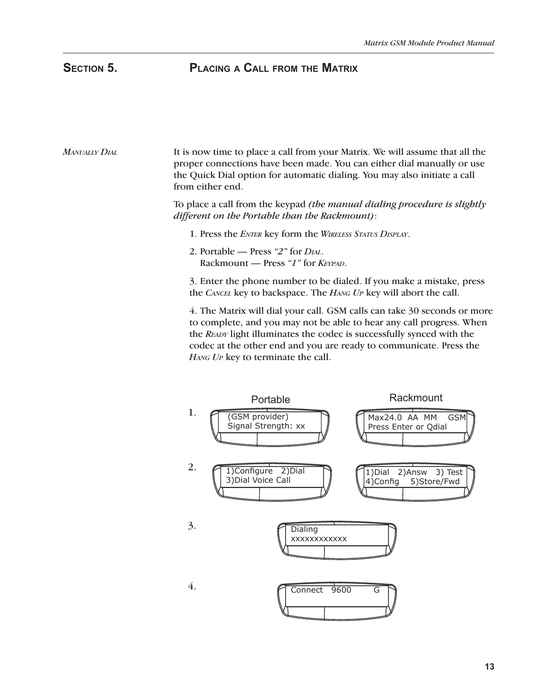# **SECTION 5. PLACING A CALL FROM THE MATRIX**

### It is now time to place a call from your Matrix. We will assume that all the proper connections have been made. You can either dial manually or use the Quick Dial option for automatic dialing. You may also initiate a call from either end. *MANUALLY DIAL*

To place a call from the keypad *(the manual dialing procedure is slightly different on the Portable than the Rackmount)*:

- 1. Press the *ENTER* key form the *WIRELESS STATUS DISPLAY*.
- 2. Portable Press *"2"* for *DIAL*. Rackmount — Press *"1"* for *KEYPAD*.

3. Enter the phone number to be dialed. If you make a mistake, press the *CANCEL* key to backspace. The *HANG UP* key will abort the call.

4. The Matrix will dial your call. GSM calls can take 30 seconds or more to complete, and you may not be able to hear any call progress. When the *READY* light illuminates the codec is successfully synced with the codec at the other end and you are ready to communicate. Press the *HANG UP* key to terminate the call.

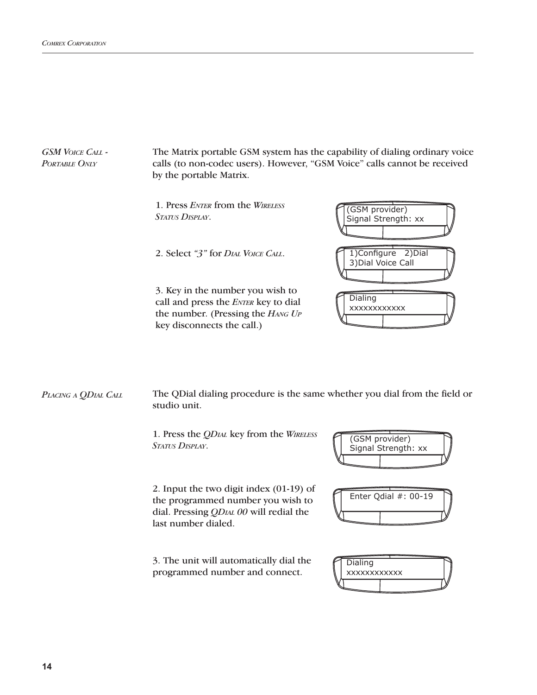The Matrix portable GSM system has the capability of dialing ordinary voice calls (to non-codec users). However, "GSM Voice" calls cannot be received by the portable Matrix. *GSM VOICE CALL - PORTABLE ONLY* 1. Press *ENTER* from the *WIRELESS STATUS DISPLAY*. 2. Select *"3"* for *DIAL VOICE CALL*. 3. Key in the number you wish to call and press the *ENTER* key to dial the number. (Pressing the *HANG UP* key disconnects the call.) (GSM provider) Signal Strength: xx **Dialing** xxxxxxxxxxxx 1)Configure 2)Dial 3)Dial Voice Call

The QDial dialing procedure is the same whether you dial from the field or studio unit. *PLACING A QDIAL CALL*

> 1. Press the *QDIAL* key from the *WIRELESS STATUS DISPLAY*.

2. Input the two digit index (01-19) of the programmed number you wish to dial. Pressing *QDIAL 00* will redial the last number dialed.

3. The unit will automatically dial the programmed number and connect.





| Dialing             |  |
|---------------------|--|
| <b>XXXXXXXXXXXX</b> |  |
|                     |  |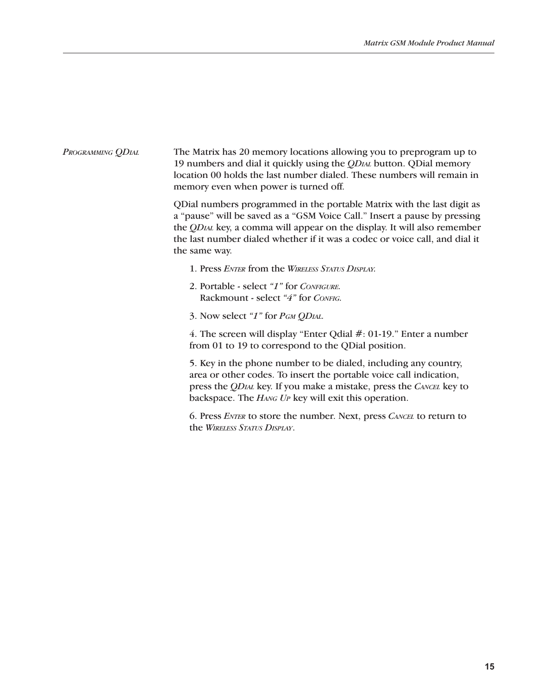## The Matrix has 20 memory locations allowing you to preprogram up to 19 numbers and dial it quickly using the *QDIAL* button. QDial memory location 00 holds the last number dialed. These numbers will remain in memory even when power is turned off. *PROGRAMMING QDIAL*

QDial numbers programmed in the portable Matrix with the last digit as a "pause" will be saved as a "GSM Voice Call." Insert a pause by pressing the *QDIAL* key, a comma will appear on the display. It will also remember the last number dialed whether if it was a codec or voice call, and dial it the same way.

- 1. Press *ENTER* from the *WIRELESS STATUS DISPLAY.*
- 2. Portable select *"1"* for *CONFIGURE.* Rackmount - select *"4"* for *CONFIG.*
- 3. Now select *"1"* for *PGM QDIAL.*

4. The screen will display "Enter Qdial #: 01-19." Enter a number from 01 to 19 to correspond to the QDial position.

5. Key in the phone number to be dialed, including any country, area or other codes. To insert the portable voice call indication, press the *QDIAL* key. If you make a mistake, press the *CANCEL* key to backspace. The *HANG UP* key will exit this operation.

6. Press *ENTER* to store the number. Next, press *CANCEL* to return to the *WIRELESS STATUS DISPLAY*.